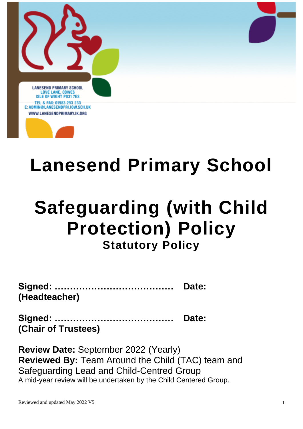



# **Lanesend Primary School**

# **Safeguarding (with Child Protection) Policy**

# **Statutory Policy**

|               | Date: |
|---------------|-------|
| (Headteacher) |       |

**Signed: ………………………………… Date: (Chair of Trustees)**

**Review Date:** September 2022 (Yearly) **Reviewed By:** Team Around the Child (TAC) team and Safeguarding Lead and Child-Centred Group A mid-year review will be undertaken by the Child Centered Group.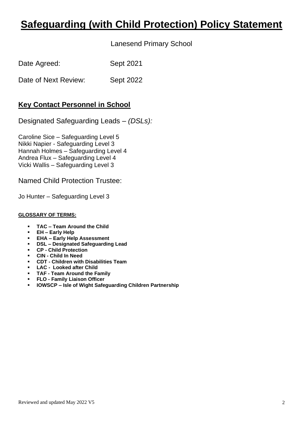## **Safeguarding (with Child Protection) Policy Statement**

Lanesend Primary School

| Date Agreed:         | Sept 2021        |
|----------------------|------------------|
| Date of Next Review: | <b>Sept 2022</b> |

### **Key Contact Personnel in School**

Designated Safeguarding Leads – *(DSLs):*

Caroline Sice – Safeguarding Level 5 Nikki Napier - Safeguarding Level 3 Hannah Holmes – Safeguarding Level 4 Andrea Flux – Safeguarding Level 4 Vicki Wallis – Safeguarding Level 3

Named Child Protection Trustee:

Jo Hunter – Safeguarding Level 3

#### **GLOSSARY OF TERMS:**

- **TAC – Team Around the Child**
- **EH – Early Help**
- **EHA – Early Help Assessment**
- **DSL – Designated Safeguarding Lead**
- **CP - Child Protection**
- **CIN - Child In Need**
- **CDT - Children with Disabilities Team**
- **LAC Looked after Child**
- **TAF - Team Around the Family**
- **FLO - Family Liaison Officer**
- **IOWSCP – Isle of Wight Safeguarding Children Partnership**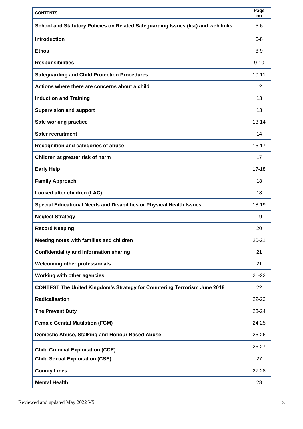| <b>CONTENTS</b>                                                                    | Page<br>no        |
|------------------------------------------------------------------------------------|-------------------|
| School and Statutory Policies on Related Safeguarding Issues (list) and web links. | $5-6$             |
| <b>Introduction</b>                                                                | $6 - 8$           |
| <b>Ethos</b>                                                                       | $8-9$             |
| <b>Responsibilities</b>                                                            | $9 - 10$          |
| <b>Safeguarding and Child Protection Procedures</b>                                | $10 - 11$         |
| Actions where there are concerns about a child                                     | $12 \overline{ }$ |
| <b>Induction and Training</b>                                                      | 13                |
| <b>Supervision and support</b>                                                     | 13                |
| Safe working practice                                                              | $13 - 14$         |
| <b>Safer recruitment</b>                                                           | 14                |
| Recognition and categories of abuse                                                | $15 - 17$         |
| Children at greater risk of harm                                                   | 17                |
| <b>Early Help</b>                                                                  | $17 - 18$         |
| <b>Family Approach</b>                                                             | 18                |
| Looked after children (LAC)                                                        | 18                |
| Special Educational Needs and Disabilities or Physical Health Issues               | 18-19             |
| <b>Neglect Strategy</b>                                                            | 19                |
| <b>Record Keeping</b>                                                              | 20                |
| Meeting notes with families and children                                           | $20 - 21$         |
| <b>Confidentiality and information sharing</b>                                     | 21                |
| <b>Welcoming other professionals</b>                                               | 21                |
| <b>Working with other agencies</b>                                                 | $21 - 22$         |
| <b>CONTEST The United Kingdom's Strategy for Countering Terrorism June 2018</b>    | 22                |
| <b>Radicalisation</b>                                                              | 22-23             |
| <b>The Prevent Duty</b>                                                            | 23-24             |
| <b>Female Genital Mutilation (FGM)</b>                                             | 24-25             |
| <b>Domestic Abuse, Stalking and Honour Based Abuse</b>                             | $25 - 26$         |
| <b>Child Criminal Exploitation (CCE)</b>                                           | 26-27             |
| <b>Child Sexual Exploitation (CSE)</b>                                             | 27                |
| <b>County Lines</b>                                                                | $27 - 28$         |
| <b>Mental Health</b>                                                               | 28                |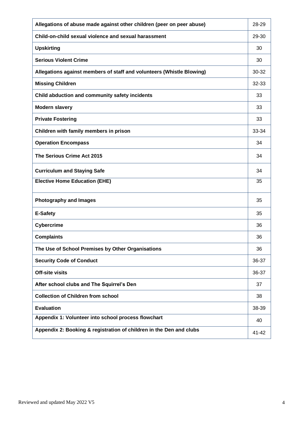| Allegations of abuse made against other children (peer on peer abuse) | 28-29 |
|-----------------------------------------------------------------------|-------|
| Child-on-child sexual violence and sexual harassment                  | 29-30 |
| <b>Upskirting</b>                                                     | 30    |
| <b>Serious Violent Crime</b>                                          | 30    |
| Allegations against members of staff and volunteers (Whistle Blowing) | 30-32 |
| <b>Missing Children</b>                                               | 32-33 |
| Child abduction and community safety incidents                        | 33    |
| <b>Modern slavery</b>                                                 | 33    |
| <b>Private Fostering</b>                                              | 33    |
| Children with family members in prison                                | 33-34 |
| <b>Operation Encompass</b>                                            | 34    |
| The Serious Crime Act 2015                                            | 34    |
| <b>Curriculum and Staying Safe</b>                                    | 34    |
| <b>Elective Home Education (EHE)</b>                                  | 35    |
| <b>Photography and Images</b>                                         | 35    |
| <b>E-Safety</b>                                                       | 35    |
| <b>Cybercrime</b>                                                     | 36    |
| <b>Complaints</b>                                                     | 36    |
| The Use of School Premises by Other Organisations                     | 36    |
| <b>Security Code of Conduct</b>                                       | 36-37 |
| <b>Off-site visits</b>                                                | 36-37 |
| After school clubs and The Squirrel's Den                             | 37    |
| <b>Collection of Children from school</b>                             | 38    |
| <b>Evaluation</b>                                                     | 38-39 |
| Appendix 1: Volunteer into school process flowchart                   | 40    |
| Appendix 2: Booking & registration of children in the Den and clubs   | 41-42 |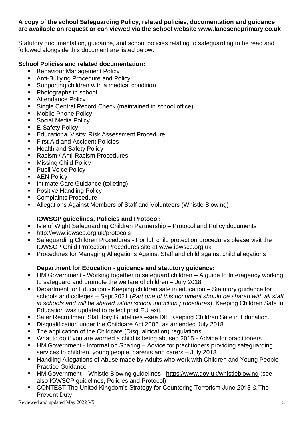#### **A copy of the school Safeguarding Policy, related policies, documentation and guidance are available on request or can viewed via the school website [www.lanesendprimary.co.uk](http://www.lanesendprimary.co.uk/)**

Statutory documentation, guidance, and school policies relating to safeguarding to be read and followed alongside this document are listed below:

#### **School Policies and related documentation:**

- **Behaviour Management Policy**
- Anti-Bullying Procedure and Policy
- Supporting children with a medical condition
- Photographs in school
- Attendance Policy
- Single Central Record Check (maintained in school office)
- Mobile Phone Policy
- Social Media Policy
- E-Safety Policy
- Educational Visits: Risk Assessment Procedure
- First Aid and Accident Policies
- Health and Safety Policy
- Racism / Anti-Racism Procedures
- Missing Child Policy
- Pupil Voice Policy
- AEN Policy
- Intimate Care Guidance (toileting)
- Positive Handling Policy
- Complaints Procedure
- Allegations Against Members of Staff and Volunteers (Whistle Blowing)

#### **IOWSCP guidelines, Policies and Protocol:**

- Isle of Wight Safeguarding Children Partnership Protocol and Policy documents
- <http://www.iowscp.org.uk/protocols>
- Safeguarding Children Procedures For full child protection procedures please visit the IOWSCP Child Protection Procedures site at www.iowscp.org.uk
- Procedures for Managing Allegations Against Staff and child against child allegations

#### **Department for Education - guidance and statutory guidance:**

- HM Government Working together to safeguard children A guide to Interagency working to safeguard and promote the welfare of children – July 2018
- Department for Education Keeping children safe in education Statutory guidance for schools and colleges – Sept 2021 (*Part one of this document should be shared with all staff in schools and will be shared within school induction procedures*). Keeping Children Safe in Education was updated to reflect post EU exit.
- Safer Recruitment Statutory Guidelines see DfE Keeping Children Safe in Education.
- Disqualification under the Childcare Act 2006, as amended July 2018
- The application of the Childcare (Disqualification) regulations
- What to do if you are worried a child is being abused 2015 Advice for practitioners
- HM Government Information Sharing Advice for practitioners providing safeguarding services to children, young people, parents and carers – July 2018
- Handling Allegations of Abuse made by Adults who work with Children and Young People Practice Guidance
- HM Government Whistle Blowing guidelines <https://www.gov.uk/whistleblowing> (see also IOWSCP guidelines, Policies and Protocol)
- CONTEST The United Kingdom's Strategy for Countering Terrorism June 2018 & The Prevent Duty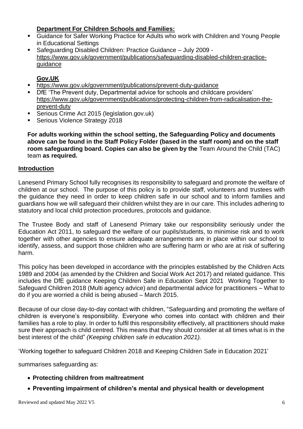#### **Department For Children Schools and Families:**

- Guidance for Safer Working Practice for Adults who work with Children and Young People in Educational Settings
- Safeguarding Disabled Children: Practice Guidance July 2009 [https://www.gov.uk/government/publications/safeguarding-disabled-children-practice](https://www.gov.uk/government/publications/safeguarding-disabled-children-practice-guidance)[guidance](https://www.gov.uk/government/publications/safeguarding-disabled-children-practice-guidance)

#### **Gov.UK**

- <https://www.gov.uk/government/publications/prevent-duty-guidance>
- **DfE 'The Prevent duty, Departmental advice for schools and childcare providers'** [https://www.gov.uk/government/publications/protecting-children-from-radicalisation-the](https://www.gov.uk/government/publications/protecting-children-from-radicalisation-the-prevent-duty)[prevent-duty](https://www.gov.uk/government/publications/protecting-children-from-radicalisation-the-prevent-duty)
- Serious Crime Act 2015 (legislation.gov.uk)
- **Serious Violence Strategy 2018**

**For adults working within the school setting, the Safeguarding Policy and documents above can be found in the Staff Policy Folder (based in the staff room) and on the staff room safeguarding board. Copies can also be given by the** Team Around the Child (TAC) team **as required.** 

#### **Introduction**

Lanesend Primary School fully recognises its responsibility to safeguard and promote the welfare of children at our school. The purpose of this policy is to provide staff, volunteers and trustees with the guidance they need in order to keep children safe in our school and to inform families and guardians how we will safeguard their children whilst they are in our care. This includes adhering to statutory and local child protection procedures, protocols and guidance.

The Trustee Body and staff of Lanesend Primary take our responsibility seriously under the Education Act 2011, to safeguard the welfare of our pupils/students, to minimise risk and to work together with other agencies to ensure adequate arrangements are in place within our school to identify, assess, and support those children who are suffering harm or who are at risk of suffering harm.

This policy has been developed in accordance with the principles established by the Children Acts 1989 and 2004 (as amended by the Children and Social Work Act 2017) and related guidance. This includes the DfE guidance Keeping Children Safe in Education Sept 2021 Working Together to Safeguard Children 2018 (Multi agency advice) and departmental advice for practitioners – What to do if you are worried a child is being abused – March 2015.

Because of our close day-to-day contact with children, "Safeguarding and promoting the welfare of children is everyone's responsibility. Everyone who comes into contact with children and their families has a role to play. In order to fulfil this responsibility effectively, all practitioners should make sure their approach is child centred. This means that they should consider at all times what is in the best interest of the child" *(Keeping children safe in education 2021).*

'Working together to safeguard Children 2018 and Keeping Children Safe in Education 2021'

summarises safeguarding as:

- **Protecting children from maltreatment**
- **Preventing impairment of children's mental and physical health or development**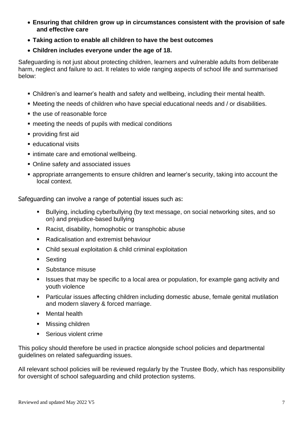- **Ensuring that children grow up in circumstances consistent with the provision of safe and effective care**
- **Taking action to enable all children to have the best outcomes**
- **Children includes everyone under the age of 18.**

Safeguarding is not just about protecting children, learners and vulnerable adults from deliberate harm, neglect and failure to act. It relates to wide ranging aspects of school life and summarised below:

- Children's and learner's health and safety and wellbeing, including their mental health.
- Meeting the needs of children who have special educational needs and / or disabilities.
- the use of reasonable force
- meeting the needs of pupils with medical conditions
- providing first aid
- educational visits
- **E** intimate care and emotional wellbeing.
- Online safety and associated issues
- appropriate arrangements to ensure children and learner's security, taking into account the local context.

Safeguarding can involve a range of potential issues such as:

- Bullying, including cyberbullying (by text message, on social networking sites, and so on) and prejudice-based bullying
- Racist, disability, homophobic or transphobic abuse
- Radicalisation and extremist behaviour
- Child sexual exploitation & child criminal exploitation
- Sexting
- Substance misuse
- Issues that may be specific to a local area or population, for example gang activity and youth violence
- Particular issues affecting children including domestic abuse, female genital mutilation and modern slavery & forced marriage.
- Mental health
- Missing children
- Serious violent crime

This policy should therefore be used in practice alongside school policies and departmental guidelines on related safeguarding issues.

All relevant school policies will be reviewed regularly by the Trustee Body, which has responsibility for oversight of school safeguarding and child protection systems.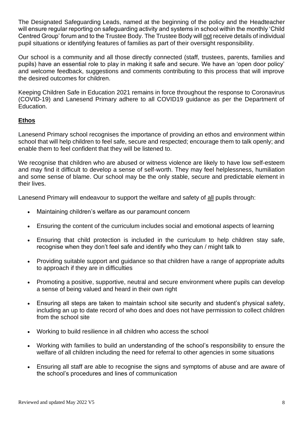The Designated Safeguarding Leads, named at the beginning of the policy and the Headteacher will ensure regular reporting on safeguarding activity and systems in school within the monthly 'Child Centred Group' forum and to the Trustee Body. The Trustee Body will not receive details of individual pupil situations or identifying features of families as part of their oversight responsibility.

Our school is a community and all those directly connected (staff, trustees, parents, families and pupils) have an essential role to play in making it safe and secure. We have an 'open door policy' and welcome feedback, suggestions and comments contributing to this process that will improve the desired outcomes for children.

Keeping Children Safe in Education 2021 remains in force throughout the response to Coronavirus (COVID-19) and Lanesend Primary adhere to all COVID19 guidance as per the Department of Education.

#### **Ethos**

Lanesend Primary school recognises the importance of providing an ethos and environment within school that will help children to feel safe, secure and respected; encourage them to talk openly; and enable them to feel confident that they will be listened to.

We recognise that children who are abused or witness violence are likely to have low self-esteem and may find it difficult to develop a sense of self-worth. They may feel helplessness, humiliation and some sense of blame. Our school may be the only stable, secure and predictable element in their lives.

Lanesend Primary will endeavour to support the welfare and safety of all pupils through:

- Maintaining children's welfare as our paramount concern
- Ensuring the content of the curriculum includes social and emotional aspects of learning
- Ensuring that child protection is included in the curriculum to help children stay safe, recognise when they don't feel safe and identify who they can / might talk to
- Providing suitable support and guidance so that children have a range of appropriate adults to approach if they are in difficulties
- Promoting a positive, supportive, neutral and secure environment where pupils can develop a sense of being valued and heard in their own right
- Ensuring all steps are taken to maintain school site security and student's physical safety, including an up to date record of who does and does not have permission to collect children from the school site
- Working to build resilience in all children who access the school
- Working with families to build an understanding of the school's responsibility to ensure the welfare of all children including the need for referral to other agencies in some situations
- Ensuring all staff are able to recognise the signs and symptoms of abuse and are aware of the school's procedures and lines of communication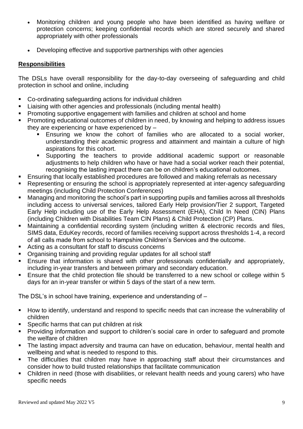- Monitoring children and young people who have been identified as having welfare or protection concerns; keeping confidential records which are stored securely and shared appropriately with other professionals
- Developing effective and supportive partnerships with other agencies

#### **Responsibilities**

The DSLs have overall responsibility for the day-to-day overseeing of safeguarding and child protection in school and online, including

- Co-ordinating safeguarding actions for individual children
- Liaising with other agencies and professionals (including mental health)
- Promoting supportive engagement with families and children at school and home
- Promoting educational outcomes of children in need, by knowing and helping to address issues they are experiencing or have experienced by –
	- Ensuring we know the cohort of families who are allocated to a social worker, understanding their academic progress and attainment and maintain a culture of high aspirations for this cohort.
	- Supporting the teachers to provide additional academic support or reasonable adjustments to help children who have or have had a social worker reach their potential, recognising the lasting impact there can be on children's educational outcomes.
- Ensuring that locally established procedures are followed and making referrals as necessary
- Representing or ensuring the school is appropriately represented at inter-agency safeguarding meetings (including Child Protection Conferences)
- Managing and monitoring the school's part in supporting pupils and families across all thresholds including access to universal services, tailored Early Help provision/Tier 2 support, Targeted Early Help including use of the Early Help Assessment (EHA), Child In Need (CIN) Plans (including Children with Disabilities Team CIN Plans) & Child Protection (CP) Plans.
- Maintaining a confidential recording system (including written & electronic records and files, SIMS data, EduKey records, record of families receiving support across thresholds 1-4, a record of all calls made from school to Hampshire Children's Services and the outcome.
- Acting as a consultant for staff to discuss concerns
- Organising training and providing regular updates for all school staff
- **Ensure that information is shared with other professionals confidentially and appropriately,** including in-year transfers and between primary and secondary education.
- Ensure that the child protection file should be transferred to a new school or college within 5 days for an in-year transfer or within 5 days of the start of a new term.

The DSL's in school have training, experience and understanding of –

- How to identify, understand and respond to specific needs that can increase the vulnerability of children
- Specific harms that can put children at risk
- Providing information and support to children's social care in order to safeguard and promote the welfare of children
- The lasting impact adversity and trauma can have on education, behaviour, mental health and wellbeing and what is needed to respond to this.
- The difficulties that children may have in approaching staff about their circumstances and consider how to build trusted relationships that facilitate communication
- Children in need (those with disabilities, or relevant health needs and young carers) who have specific needs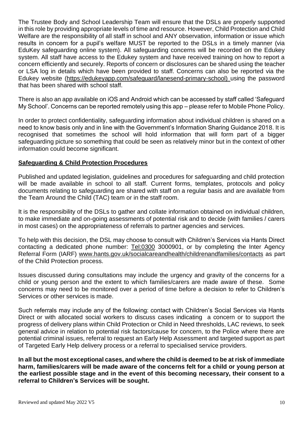The Trustee Body and School Leadership Team will ensure that the DSLs are properly supported in this role by providing appropriate levels of time and resource. However, Child Protection and Child Welfare are the responsibility of all staff in school and ANY observation, information or issue which results in concern for a pupil's welfare MUST be reported to the DSLs in a timely manner (via EduKey safeguarding online system). All safeguarding concerns will be recorded on the Edukey system. All staff have access to the Edukey system and have received training on how to report a concern efficiently and securely. Reports of concern or disclosures can be shared using the teacher or LSA log in details which have been provided to staff. Concerns can also be reported via the Edukey website [\(https://edukeyapp.com/safeguard/lanesend-primary-school\)](https://edukeyapp.com/safeguard/lanesend-primary-school) using the password that has been shared with school staff.

There is also an app available on iOS and Android which can be accessed by staff called 'Safeguard My School'. Concerns can be reported remotely using this app – please refer to Mobile Phone Policy.

In order to protect confidentiality, safeguarding information about individual children is shared on a need to know basis only and in line with the Government's Information Sharing Guidance 2018. It is recognised that sometimes the school will hold information that will form part of a bigger safeguarding picture so something that could be seen as relatively minor but in the context of other information could become significant.

#### **Safeguarding & Child Protection Procedures**

Published and updated legislation, guidelines and procedures for safeguarding and child protection will be made available in school to all staff. Current forms, templates, protocols and policy documents relating to safeguarding are shared with staff on a regular basis and are available from the Team Around the Child (TAC) team or in the staff room.

It is the responsibility of the DSLs to gather and collate information obtained on individual children, to make immediate and on-going assessments of potential risk and to decide (with families / carers in most cases) on the appropriateness of referrals to partner agencies and services.

To help with this decision, the DSL may choose to consult with Children's Services via Hants Direct contacting a dedicated phone number: <Tel:0300> 3000901, or by completing the Inter Agency Referral Form (IARF) [www.hants.gov.uk/socialcareandhealth/childrenandfamilies/contacts](http://www.hants.gov.uk/socialcareandhealth/childrenandfamilies/contacts) as part of the Child Protection process.

Issues discussed during consultations may include the urgency and gravity of the concerns for a child or young person and the extent to which families/carers are made aware of these. Some concerns may need to be monitored over a period of time before a decision to refer to Children's Services or other services is made.

Such referrals may include any of the following: contact with Children's Social Services via Hants Direct or with allocated social workers to discuss cases indicating a concern or to support the progress of delivery plans within Child Protection or Child in Need thresholds, LAC reviews, to seek general advice in relation to potential risk factors/cause for concern, to the Police where there are potential criminal issues, referral to request an Early Help Assessment and targeted support as part of Targeted Early Help delivery process or a referral to specialised service providers.

**In all but the most exceptional cases, and where the child is deemed to be at risk of immediate harm, families/carers will be made aware of the concerns felt for a child or young person at the earliest possible stage and in the event of this becoming necessary, their consent to a referral to Children's Services will be sought.**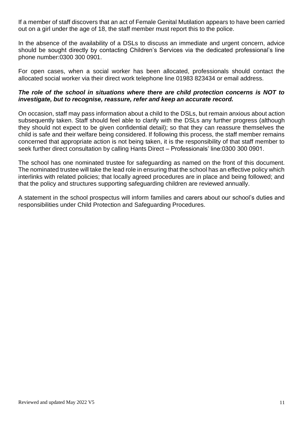If a member of staff discovers that an act of Female Genital Mutilation appears to have been carried out on a girl under the age of 18, the staff member must report this to the police.

In the absence of the availability of a DSLs to discuss an immediate and urgent concern, advice should be sought directly by contacting Children's Services via the dedicated professional's line phone number:0300 300 0901.

For open cases, when a social worker has been allocated, professionals should contact the allocated social worker via their direct work telephone line 01983 823434 or email address.

#### *The role of the school in situations where there are child protection concerns is NOT to investigate, but to recognise, reassure, refer and keep an accurate record.*

On occasion, staff may pass information about a child to the DSLs, but remain anxious about action subsequently taken. Staff should feel able to clarify with the DSLs any further progress (although they should not expect to be given confidential detail); so that they can reassure themselves the child is safe and their welfare being considered. If following this process, the staff member remains concerned that appropriate action is not being taken, it is the responsibility of that staff member to seek further direct consultation by calling Hants Direct – Professionals' line:0300 300 0901.

The school has one nominated trustee for safeguarding as named on the front of this document. The nominated trustee will take the lead role in ensuring that the school has an effective policy which interlinks with related policies; that locally agreed procedures are in place and being followed; and that the policy and structures supporting safeguarding children are reviewed annually.

A statement in the school prospectus will inform families and carers about our school's duties and responsibilities under Child Protection and Safeguarding Procedures.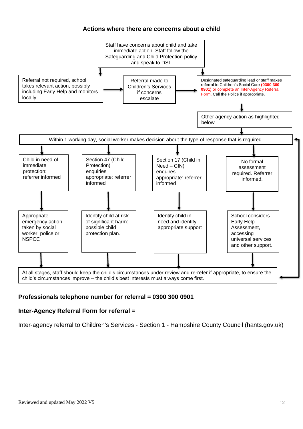#### **Actions where there are concerns about a child**



#### **Professionals telephone number for referral = 0300 300 0901**

#### **Inter-Agency Referral Form for referral =**

[Inter-agency referral to Children's Services -](https://forms.hants.gov.uk/en/AchieveForms/?form_uri=sandbox-publish://AF-Process-7e6115a7-b0ba-484d-991f-084c1248ac72/AF-Stage-52cf8e73-0daf-47d4-bb55-0fdad856d3e6/definition.json&redirectlink=/en&cancelRedirectLink=/en) Section 1 - Hampshire County Council (hants.gov.uk)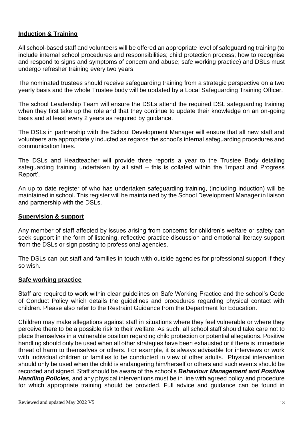#### **Induction & Training**

All school-based staff and volunteers will be offered an appropriate level of safeguarding training (to include internal school procedures and responsibilities; child protection process; how to recognise and respond to signs and symptoms of concern and abuse; safe working practice) and DSLs must undergo refresher training every two years.

The nominated trustees should receive safeguarding training from a strategic perspective on a two yearly basis and the whole Trustee body will be updated by a Local Safeguarding Training Officer.

The school Leadership Team will ensure the DSLs attend the required DSL safeguarding training when they first take up the role and that they continue to update their knowledge on an on-going basis and at least every 2 years as required by guidance.

The DSLs in partnership with the School Development Manager will ensure that all new staff and volunteers are appropriately inducted as regards the school's internal safeguarding procedures and communication lines.

The DSLs and Headteacher will provide three reports a year to the Trustee Body detailing safeguarding training undertaken by all staff – this is collated within the 'Impact and Progress Report'.

An up to date register of who has undertaken safeguarding training, (including induction) will be maintained in school. This register will be maintained by the School Development Manager in liaison and partnership with the DSLs.

#### **Supervision & support**

Any member of staff affected by issues arising from concerns for children's welfare or safety can seek support in the form of listening, reflective practice discussion and emotional literacy support from the DSLs or sign posting to professional agencies.

The DSLs can put staff and families in touch with outside agencies for professional support if they so wish.

#### **Safe working practice**

Staff are required to work within clear guidelines on Safe Working Practice and the school's Code of Conduct Policy which details the guidelines and procedures regarding physical contact with children. Please also refer to the Restraint Guidance from the Department for Education.

Children may make allegations against staff in situations where they feel vulnerable or where they perceive there to be a possible risk to their welfare. As such, all school staff should take care not to place themselves in a vulnerable position regarding child protection or potential allegations. Positive handling should only be used when all other strategies have been exhausted or if there is immediate threat of harm to themselves or others. For example, it is always advisable for interviews or work with individual children or families to be conducted in view of other adults. Physical intervention should only be used when the child is endangering him/herself or others and such events should be recorded and signed. Staff should be aware of the school's *Behaviour Management and Positive Handling Policies,* and any physical interventions must be in line with agreed policy and procedure for which appropriate training should be provided. Full advice and guidance can be found in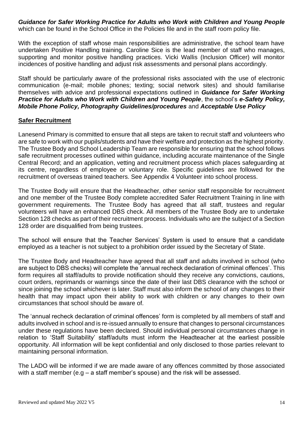*Guidance for Safer Working Practice for Adults who Work with Children and Young People* which can be found in the School Office in the Policies file and in the staff room policy file.

With the exception of staff whose main responsibilities are administrative, the school team have undertaken Positive Handling training. Caroline Sice is the lead member of staff who manages, supporting and monitor positive handling practices. Vicki Wallis (Inclusion Officer) will monitor incidences of positive handling and adjust risk assessments and personal plans accordingly.

Staff should be particularly aware of the professional risks associated with the use of electronic communication (e-mail; mobile phones; texting; social network sites) and should familiarise themselves with advice and professional expectations outlined in *Guidance for Safer Working Practice for Adults who Work with Children and Young People*, the school's *e-Safety Policy, Mobile Phone Policy, Photography Guidelines/procedures* and *Acceptable Use Policy*

#### **Safer Recruitment**

Lanesend Primary is committed to ensure that all steps are taken to recruit staff and volunteers who are safe to work with our pupils/students and have their welfare and protection as the highest priority. The Trustee Body and School Leadership Team are responsible for ensuring that the school follows safe recruitment processes outlined within guidance, including accurate maintenance of the Single Central Record; and an application, vetting and recruitment process which places safeguarding at its centre, regardless of employee or voluntary role. Specific guidelines are followed for the recruitment of overseas trained teachers. See Appendix 4 Volunteer into school process.

The Trustee Body will ensure that the Headteacher, other senior staff responsible for recruitment and one member of the Trustee Body complete accredited Safer Recruitment Training in line with government requirements. The Trustee Body has agreed that all staff, trustees and regular volunteers will have an enhanced DBS check. All members of the Trustee Body are to undertake Section 128 checks as part of their recruitment process. Individuals who are the subject of a Section 128 order are disqualified from being trustees.

The school will ensure that the Teacher Services' System is used to ensure that a candidate employed as a teacher is not subject to a prohibition order issued by the Secretary of State.

The Trustee Body and Headteacher have agreed that all staff and adults involved in school (who are subject to DBS checks) will complete the 'annual recheck declaration of criminal offences'. This form requires all staff/adults to provide notification should they receive any convictions, cautions, court orders, reprimands or warnings since the date of their last DBS clearance with the school or since joining the school whichever is later. Staff must also inform the school of any changes to their health that may impact upon their ability to work with children or any changes to their own circumstances that school should be aware of.

The 'annual recheck declaration of criminal offences' form is completed by all members of staff and adults involved in school and is re-issued annually to ensure that changes to personal circumstances under these regulations have been declared. Should individual personal circumstances change in relation to 'Staff Suitability' staff/adults must inform the Headteacher at the earliest possible opportunity. All information will be kept confidential and only disclosed to those parties relevant to maintaining personal information.

The LADO will be informed if we are made aware of any offences committed by those associated with a staff member (e.g – a staff member's spouse) and the risk will be assessed.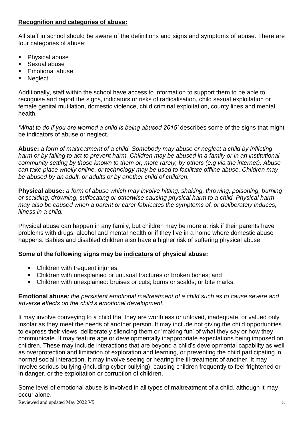#### **Recognition and categories of abuse:**

All staff in school should be aware of the definitions and signs and symptoms of abuse. There are four categories of abuse:

- Physical abuse
- Sexual abuse
- **Emotional abuse**
- **Neglect**

Additionally, staff within the school have access to information to support them to be able to recognise and report the signs, indicators or risks of radicalisation, child sexual exploitation or female genital mutilation, domestic violence, child criminal exploitation, county lines and mental health.

'What to do if you are worried a child is being abused 2015' describes some of the signs that might be indicators of abuse or neglect.

**Abuse:** *a form of maltreatment of a child. Somebody may abuse or neglect a child by inflicting harm or by failing to act to prevent harm. Children may be abused in a family or in an institutional community setting by those known to them or, more rarely, by others (e.g via the internet). Abuse can take place wholly online, or technology may be used to facilitate offline abuse. Children may be abused by an adult, or adults or by another child of children.* 

**Physical abuse:** *a form of abuse which may involve hitting, shaking, throwing, poisoning, burning or scalding, drowning, suffocating or otherwise causing physical harm to a child. Physical harm may also be caused when a parent or carer fabricates the symptoms of, or deliberately induces, illness in a child.* 

Physical abuse can happen in any family, but children may be more at risk if their parents have problems with drugs, alcohol and mental health or if they live in a home where domestic abuse happens. Babies and disabled children also have a higher risk of suffering physical abuse.

#### **Some of the following signs may be indicators of physical abuse:**

- **Children with frequent injuries;**
- Children with unexplained or unusual fractures or broken bones; and
- Children with unexplained: bruises or cuts; burns or scalds; or bite marks.

#### **Emotional abuse***: the persistent emotional maltreatment of a child such as to cause severe and adverse effects on the child's emotional development.*

It may involve conveying to a child that they are worthless or unloved, inadequate, or valued only insofar as they meet the needs of another person. It may include not giving the child opportunities to express their views, deliberately silencing them or 'making fun' of what they say or how they communicate. It may feature age or developmentally inappropriate expectations being imposed on children. These may include interactions that are beyond a child's developmental capability as well as overprotection and limitation of exploration and learning, or preventing the child participating in normal social interaction. It may involve seeing or hearing the ill-treatment of another. It may involve serious bullying (including cyber bullying), causing children frequently to feel frightened or in danger, or the exploitation or corruption of children.

Some level of emotional abuse is involved in all types of maltreatment of a child, although it may occur alone.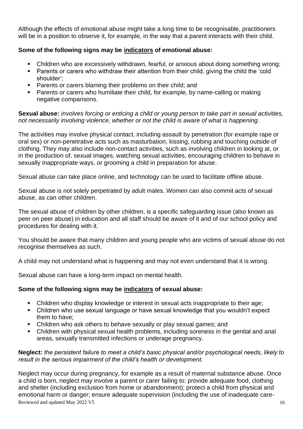Although the effects of emotional abuse might take a long time to be recognisable, practitioners will be in a position to observe it, for example, in the way that a parent interacts with their child.

#### **Some of the following signs may be indicators of emotional abuse:**

- Children who are excessively withdrawn, fearful, or anxious about doing something wrong;
- Parents or carers who withdraw their attention from their child, giving the child the 'cold shoulder';
- Parents or carers blaming their problems on their child; and
- Parents or carers who humiliate their child, for example, by name-calling or making negative comparisons.

#### **Sexual abuse:** *involves forcing or enticing a child or young person to take part in sexual activities, not necessarily involving violence, whether or not the child is aware of what is happening*.

The activities may involve physical contact, including assault by penetration (for example rape or oral sex) or non-penetrative acts such as masturbation, kissing, rubbing and touching outside of clothing. They may also include non-contact activities, such as involving children in looking at, or in the production of, sexual images, watching sexual activities, encouraging children to behave in sexually inappropriate ways, or grooming a child in preparation for abuse.

Sexual abuse can take place online, and technology can be used to facilitate offline abuse.

Sexual abuse is not solely perpetrated by adult males. Women can also commit acts of sexual abuse, as can other children.

The sexual abuse of children by other children, is a specific safeguarding issue (also known as peer on peer abuse) in education and all staff should be aware of it and of our school policy and procedures for dealing with it.

You should be aware that many children and young people who are victims of sexual abuse do not recognise themselves as such.

A child may not understand what is happening and may not even understand that it is wrong.

Sexual abuse can have a long-term impact on mental health.

#### **Some of the following signs may be indicators of sexual abuse:**

- Children who display knowledge or interest in sexual acts inappropriate to their age;
- Children who use sexual language or have sexual knowledge that you wouldn't expect them to have;
- Children who ask others to behave sexually or play sexual games; and
- Children with physical sexual health problems, including soreness in the genital and anal areas, sexually transmitted infections or underage pregnancy.

#### **Neglect:** *the persistent failure to meet a child's basic physical and/or psychological needs, likely to result in the serious impairment of the child's health or development*.

Reviewed and updated May 2022 V5 16 Neglect may occur during pregnancy, for example as a result of maternal substance abuse. Once a child is born, neglect may involve a parent or carer failing to: provide adequate food, clothing and shelter (including exclusion from home or abandonment); protect a child from physical and emotional harm or danger; ensure adequate supervision (including the use of inadequate care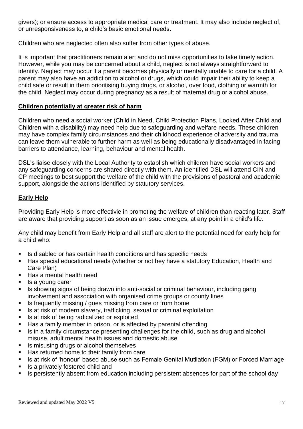givers); or ensure access to appropriate medical care or treatment. It may also include neglect of, or unresponsiveness to, a child's basic emotional needs.

Children who are neglected often also suffer from other types of abuse.

It is important that practitioners remain alert and do not miss opportunities to take timely action. However, while you may be concerned about a child, neglect is not always straightforward to identify. Neglect may occur if a parent becomes physically or mentally unable to care for a child. A parent may also have an addiction to alcohol or drugs, which could impair their ability to keep a child safe or result in them prioritising buying drugs, or alcohol, over food, clothing or warmth for the child. Neglect may occur during pregnancy as a result of maternal drug or alcohol abuse.

#### **Children potentially at greater risk of harm**

Children who need a social worker (Child in Need, Child Protection Plans, Looked After Child and Children with a disability) may need help due to safeguarding and welfare needs. These children may have complex family circumstances and their childhood experience of adversity and trauma can leave them vulnerable to further harm as well as being educationally disadvantaged in facing barriers to attendance, learning, behaviour and mental health.

DSL's liaise closely with the Local Authority to establish which children have social workers and any safeguarding concerns are shared directly with them. An identified DSL will attend CIN and CP meetings to best support the welfare of the child with the provisions of pastoral and academic support, alongside the actions identified by statutory services.

#### **Early Help**

Providing Early Help is more effectivie in promoting the welfare of children than reacting later. Staff are aware that providing support as soon as an issue emerges, at any point in a child's life.

Any child may benefit from Early Help and all staff are alert to the potential need for early help for a child who:

- Is disabled or has certain health conditions and has specific needs
- Has special educational needs (whether or not hey have a statutory Education, Health and Care Plan)
- Has a mental health need
- Is a young carer
- Is showing signs of being drawn into anti-social or criminal behaviour, including gang involvement and association with organised crime groups or county lines
- Is frequently missing / goes missing from care or from home
- Is at risk of modern slavery, trafficking, sexual or criminal exploitation
- Is at risk of being radicalized or exploited
- Has a family member in prison, or is affected by parental offending
- Is in a family circumstance presenting challenges for the child, such as drug and alcohol misuse, adult mental health issues and domestic abuse
- Is misusing drugs or alcohol themselves
- Has returned home to their family from care
- Is at risk of 'honour' based abuse such as Female Genital Mutilation (FGM) or Forced Marriage
- Is a privately fostered child and
- **EXEDENTIFY IS persistently absent from education including persistent absences for part of the school day**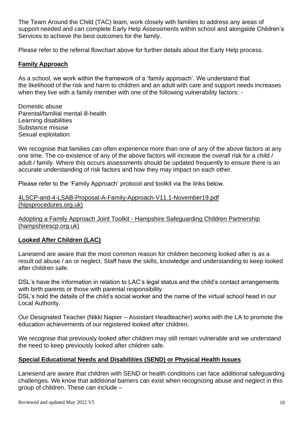The Team Around the Child (TAC) team, work closely with families to address any areas of support needed and can complete Early Help Assessments within school and alongside Children's Services to achieve the best outcomes for the family.

Please refer to the referral flowchart above for further details about the Early Help process.

#### **Family Approach**

As a school, we work within the framework of a 'family approach'. We understand that the likelihood of the risk and harm to children and an adult with care and support needs increases when they live with a family member with one of the following vulnerability factors: -

Domestic abuse Parental/familial mental ill-health Learning disabilities Substance misuse Sexual exploitation

We recognise that families can often experience more than one of any of the above factors at any one time. The co-existence of any of the above factors will increase the overall risk for a child / adult / family. Where this occurs assessments should be updated frequently to ensure there is an accurate understanding of risk factors and how they may impact on each other.

Please refer to the 'Family Approach' protocol and toolkit via the links below.

[4LSCP-and-4-LSAB-Proposal-A-Family-Approach-V11.1-November19.pdf](https://hipsprocedures.org.uk/assets/clients/7/4LSCP-and-4-LSAB-Proposal-A-Family-Approach-V11.1-November19.pdf)  [\(hipsprocedures.org.uk\)](https://hipsprocedures.org.uk/assets/clients/7/4LSCP-and-4-LSAB-Proposal-A-Family-Approach-V11.1-November19.pdf)

Adopting a Family Approach Joint Toolkit - [Hampshire Safeguarding Children Partnership](https://www.hampshirescp.org.uk/toolkits/adopting-a-family-approach-joint-toolkit/)  [\(hampshirescp.org.uk\)](https://www.hampshirescp.org.uk/toolkits/adopting-a-family-approach-joint-toolkit/)

#### **Looked After Children (LAC)**

Lanesend are aware that the most common reason for children becoming looked after is as a result od abuse / an or neglect. Staff have the skills, knowledge and understanding to keep looked after children safe.

DSL's have the information in relation to LAC's legal status and the child's contact arrangements with birth parents or those with parental responsibility.

DSL's hold the details of the child's social worker and the name of the virtual school head in our Local Authority.

Our Designated Teacher (Nikki Napier – Assistant Headteacher) works with the LA to promote the education achievements of our registered looked after children.

We recognise that previously looked after children may still remain vulnerable and we understand the need to keep previously looked after children safe.

#### **Special Educational Needs and Disabilities (SEND) or Physical Health Issues**

Lanesend are aware that children with SEND or health conditions can face additional safeguarding challenges. We know that additional barriers can exist when recognizing abuse and neglect in this group of children. These can include –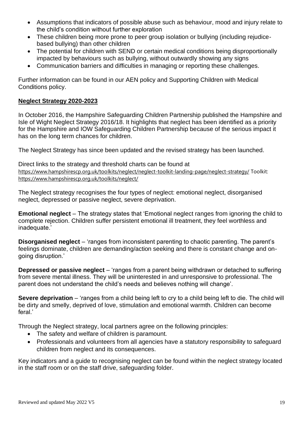- Assumptions that indicators of possible abuse such as behaviour, mood and injury relate to the child's condition without further exploration
- These children being more prone to peer group isolation or bullying (including rejudicebased bullying) than other children
- The potential for children with SEND or certain medical conditions being disproportionally impacted by behaviours such as bullying, without outwardly showing any signs
- Communication barriers and difficulties in managing or reporting these challenges.

Further information can be found in our AEN policy and Supporting Children with Medical Conditions policy.

#### **Neglect Strategy 2020-2023**

In October 2016, the Hampshire Safeguarding Children Partnership published the Hampshire and Isle of Wight Neglect Strategy 2016/18. It highlights that neglect has been identified as a priority for the Hampshire and IOW Safeguarding Children Partnership because of the serious impact it has on the long term chances for children.

The Neglect Strategy has since been updated and the revised strategy has been launched.

Direct links to the strategy and threshold charts can be found at <https://www.hampshirescp.org.uk/toolkits/neglect/neglect-toolkit-landing-page/neglect-strategy/> Toolkit: <https://www.hampshirescp.org.uk/toolkits/neglect/>

The Neglect strategy recognises the four types of neglect: emotional neglect, disorganised neglect, depressed or passive neglect, severe deprivation.

**Emotional neglect** – The strategy states that 'Emotional neglect ranges from ignoring the child to complete rejection. Children suffer persistent emotional ill treatment, they feel worthless and inadequate.'

**Disorganised neglect** – 'ranges from inconsistent parenting to chaotic parenting. The parent's feelings dominate, children are demanding/action seeking and there is constant change and ongoing disruption.'

**Depressed or passive neglect** – 'ranges from a parent being withdrawn or detached to suffering from severe mental illness. They will be uninterested in and unresponsive to professional. The parent does not understand the child's needs and believes nothing will change'.

**Severe deprivation** – 'ranges from a child being left to cry to a child being left to die. The child will be dirty and smelly, deprived of love, stimulation and emotional warmth. Children can become feral.'

Through the Neglect strategy, local partners agree on the following principles:

- The safety and welfare of children is paramount.
- Professionals and volunteers from all agencies have a statutory responsibility to safeguard children from neglect and its consequences.

Key indicators and a guide to recognising neglect can be found within the neglect strategy located in the staff room or on the staff drive, safeguarding folder.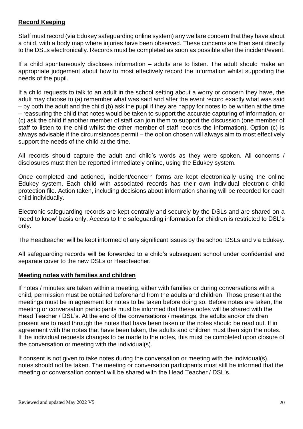#### **Record Keeping**

Staff must record (via Edukey safeguarding online system) any welfare concern that they have about a child, with a body map where injuries have been observed. These concerns are then sent directly to the DSLs electronically. Records must be completed as soon as possible after the incident/event.

If a child spontaneously discloses information – adults are to listen. The adult should make an appropriate judgement about how to most effectively record the information whilst supporting the needs of the pupil.

If a child requests to talk to an adult in the school setting about a worry or concern they have, the adult may choose to (a) remember what was said and after the event record exactly what was said – by both the adult and the child (b) ask the pupil if they are happy for notes to be written at the time – reassuring the child that notes would be taken to support the accurate capturing of information, or (c) ask the child if another member of staff can join them to support the discussion (one member of staff to listen to the child whilst the other member of staff records the information). Option (c) is always advisable if the circumstances permit – the option chosen will always aim to most effectively support the needs of the child at the time.

All records should capture the adult and child's words as they were spoken. All concerns / disclosures must then be reported immediately online, using the Edukey system.

Once completed and actioned, incident/concern forms are kept electronically using the online Edukey system. Each child with associated records has their own individual electronic child protection file. Action taken, including decisions about information sharing will be recorded for each child individually.

Electronic safeguarding records are kept centrally and securely by the DSLs and are shared on a 'need to know' basis only. Access to the safeguarding information for children is restricted to DSL's only.

The Headteacher will be kept informed of any significant issues by the school DSLs and via Edukey.

All safeguarding records will be forwarded to a child's subsequent school under confidential and separate cover to the new DSLs or Headteacher.

#### **Meeting notes with families and children**

If notes / minutes are taken within a meeting, either with families or during conversations with a child, permission must be obtained beforehand from the adults and children. Those present at the meetings must be in agreement for notes to be taken before doing so. Before notes are taken, the meeting or conversation participants must be informed that these notes will be shared with the Head Teacher / DSL's. At the end of the conversations / meetings, the adults and/or children present are to read through the notes that have been taken or the notes should be read out. If in agreement with the notes that have been taken, the adults and children must then sign the notes. If the individual requests changes to be made to the notes, this must be completed upon closure of the conversation or meeting with the individual(s).

If consent is not given to take notes during the conversation or meeting with the individual(s), notes should not be taken. The meeting or conversation participants must still be informed that the meeting or conversation content will be shared with the Head Teacher / DSL's.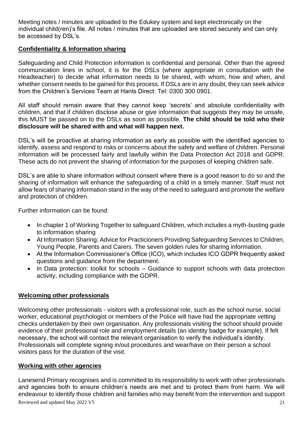Meeting notes / minutes are uploaded to the Edukey system and kept electronically on the individual child(ren)'s file. All notes / minutes that are uploaded are stored securely and can only be accessed by DSL's.

#### **Confidentiality & Information sharing**

Safeguarding and Child Protection information is confidential and personal. Other than the agreed communication lines in school, it is for the DSLs (where appropriate in consultation with the Headteacher) to decide what information needs to be shared, with whom, how and when, and whether consent needs to be gained for this process. If DSLs are in any doubt, they can seek advice from the Children's Services Team at Hants Direct: Tel: 0300 300 0901.

All staff should remain aware that they cannot keep 'secrets' and absolute confidentiality with children, and that if children disclose abuse or give information that suggests they may be unsafe, this MUST be passed on to the DSLs as soon as possible. **The child should be told who their disclosure will be shared with and what will happen next.**

DSL's will be proactive at sharing information as early as possible with the identified agencies to identify, assess and respond to risks or concerns about the safety and welfare of children. Personal information will be processed fairly and lawfully within the Data Protection Act 2018 and GDPR. These acts do not prevent the sharing of information for the purposes of keeping children safe.

DSL's are able to share information without consent where there is a good reason to do so and the sharing of information will enhance the safeguarding of a child in a timely manner. Staff must not allow fears of sharing information stand in the way of the need to safeguard and promote the welfare and protection of children.

Further information can be found:

- In chapter 1 of Working Together to safeguard Children, which includes a myth-busting guide to information sharing
- At Information Sharing: Advice for Practicioners Providing Safeguarding Services to Children, Young People, Parents and Carers. The seven golden rules for sharing information.
- At the Information Commissioner's Office (ICO), which includes ICO GDPR frequently asked questions and guidance from the department.
- In Data protection: toolkit for schools Guidance to support schools with data protection activity, including compliance with the GDPR.

#### **Welcoming other professionals**

Welcoming other professionals - visitors with a professional role, such as the school nurse, social worker, educational psychologist or members of the Police will have had the appropriate vetting checks undertaken by their own organisation. Any professionals visiting the school should provide evidence of their professional role and employment details (an identity badge for example). If felt necessary, the school will contact the relevant organisation to verify the individual's identity. Professionals will complete signing in/out procedures and wear/have on their person a school visitors pass for the duration of the visit.

#### **Working with other agencies**

Reviewed and updated May 2022 V5 21 Lanesend Primary recognises and is committed to its responsibility to work with other professionals and agencies both to ensure children's needs are met and to protect them from harm. We will endeavour to identify those children and families who may benefit from the intervention and support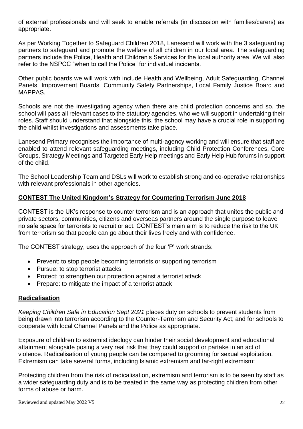of external professionals and will seek to enable referrals (in discussion with families/carers) as appropriate.

As per Working Together to Safeguard Children 2018, Lanesend will work with the 3 safeguarding partners to safeguard and promote the welfare of all children in our local area. The safeguarding partners include the Police, Health and Children's Services for the local authority area. We will also refer to the NSPCC "when to call the Police" for individual incidents.

Other public boards we will work with include Health and Wellbeing, Adult Safeguarding, Channel Panels, Improvement Boards, Community Safety Partnerships, Local Family Justice Board and MAPPAS.

Schools are not the investigating agency when there are child protection concerns and so, the school will pass all relevant cases to the statutory agencies, who we will support in undertaking their roles. Staff should understand that alongside this, the school may have a crucial role in supporting the child whilst investigations and assessments take place.

Lanesend Primary recognises the importance of multi-agency working and will ensure that staff are enabled to attend relevant safeguarding meetings, including Child Protection Conferences, Core Groups, Strategy Meetings and Targeted Early Help meetings and Early Help Hub forums in support of the child.

The School Leadership Team and DSLs will work to establish strong and co-operative relationships with relevant professionals in other agencies.

#### **CONTEST The United Kingdom's Strategy for Countering Terrorism June 2018**

CONTEST is the UK's response to counter terrorism and is an approach that unites the public and private sectors, communities, citizens and overseas partners around the single purpose to leave no safe space for terrorists to recruit or act. CONTEST's main aim is to reduce the risk to the UK from terrorism so that people can go about their lives freely and with confidence.

The CONTEST strategy, uses the approach of the four 'P' work strands:

- Prevent: to stop people becoming terrorists or supporting terrorism
- Pursue: to stop terrorist attacks
- Protect: to strengthen our protection against a terrorist attack
- Prepare: to mitigate the impact of a terrorist attack

#### **Radicalisation**

*Keeping Children Safe in Education Sept 2021* places duty on schools to prevent students from being drawn into terrorism according to the Counter-Terrorism and Security Act; and for schools to cooperate with local Channel Panels and the Police as appropriate.

Exposure of children to extremist ideology can hinder their social development and educational attainment alongside posing a very real risk that they could support or partake in an act of violence. Radicalisation of young people can be compared to grooming for sexual exploitation. Extremism can take several forms, including Islamic extremism and far-right extremism:

Protecting children from the risk of radicalisation, extremism and terrorism is to be seen by staff as a wider safeguarding duty and is to be treated in the same way as protecting children from other forms of abuse or harm.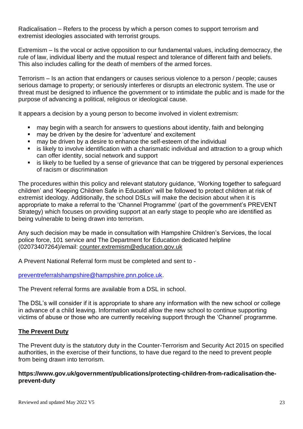Radicalisation – Refers to the process by which a person comes to support terrorism and extremist ideologies associated with terrorist groups.

Extremism – Is the vocal or active opposition to our fundamental values, including democracy, the rule of law, individual liberty and the mutual respect and tolerance of different faith and beliefs. This also includes calling for the death of members of the armed forces.

Terrorism – Is an action that endangers or causes serious violence to a person / people; causes serious damage to property; or seriously interferes or disrupts an electronic system. The use or threat must be designed to influence the government or to intimidate the public and is made for the purpose of advancing a political, religious or ideological cause.

It appears a decision by a young person to become involved in violent extremism:

- may begin with a search for answers to questions about identity, faith and belonging
- may be driven by the desire for 'adventure' and excitement
- may be driven by a desire to enhance the self-esteem of the individual
- **•** is likely to involve identification with a charismatic individual and attraction to a group which can offer identity, social network and support
- is likely to be fuelled by a sense of grievance that can be triggered by personal experiences of racism or discrimination

The procedures within this policy and relevant statutory guidance, 'Working together to safeguard children' and 'Keeping Children Safe in Education' will be followed to protect children at risk of extremist ideology. Additionally, the school DSLs will make the decision about when it is appropriate to make a referral to the 'Channel Programme' (part of the government's PREVENT Strategy) which focuses on providing support at an early stage to people who are identified as being vulnerable to being drawn into terrorism.

Any such decision may be made in consultation with Hampshire Children's Services, the local police force, 101 service and The Department for Education dedicated helpline (02073407264)/email: [counter.extremism@education.gov.uk](mailto:counter.extremism@education.gov.uk)

A Prevent National Referral form must be completed and sent to -

[preventreferralshampshire@hampshire.pnn.police.uk.](mailto:preventreferralshampshire@hampshire.pnn.police.uk)

The Prevent referral forms are available from a DSL in school.

The DSL's will consider if it is appropriate to share any information with the new school or college in advance of a child leaving. Information would allow the new school to continue supporting victims of abuse or those who are currently receiving support through the 'Channel' programme.

#### **The Prevent Duty**

The Prevent duty is the statutory duty in the Counter-Terrorism and Security Act 2015 on specified authorities, in the exercise of their functions, to have due regard to the need to prevent people from being drawn into terrorism.

#### **https://www.gov.uk/government/publications/protecting-children-from-radicalisation-theprevent-duty**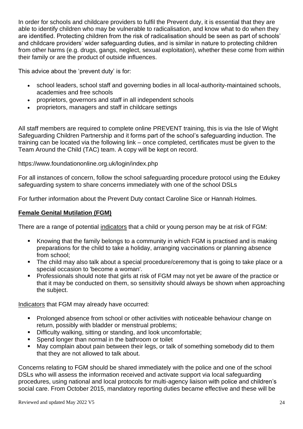In order for schools and childcare providers to fulfil the Prevent duty, it is essential that they are able to identify children who may be vulnerable to radicalisation, and know what to do when they are identified. Protecting children from the risk of radicalisation should be seen as part of schools' and childcare providers' wider safeguarding duties, and is similar in nature to protecting children from other harms (e.g. drugs, gangs, neglect, sexual exploitation), whether these come from within their family or are the product of outside influences.

This advice about the 'prevent duty' is for:

- school leaders, school staff and governing bodies in all local-authority-maintained schools, academies and free schools
- proprietors, governors and staff in all independent schools
- proprietors, managers and staff in childcare settings

All staff members are required to complete online PREVENT training, this is via the Isle of Wight Safeguarding Children Partnership and it forms part of the school's safeguarding induction. The training can be located via the following link – once completed, certificates must be given to the Team Around the Child (TAC) team. A copy will be kept on record.

https://www.foundationonline.org.uk/login/index.php

For all instances of concern, follow the school safeguarding procedure protocol using the Edukey safeguarding system to share concerns immediately with one of the school DSLs

For further information about the Prevent Duty contact Caroline Sice or Hannah Holmes.

#### **Female Genital Mutilation (FGM)**

There are a range of potential indicators that a child or young person may be at risk of FGM:

- Knowing that the family belongs to a community in which FGM is practised and is making preparations for the child to take a holiday, arranging vaccinations or planning absence from school;
- The child may also talk about a special procedure/ceremony that is going to take place or a special occasion to 'become a woman'.
- Professionals should note that girls at risk of FGM may not yet be aware of the practice or that it may be conducted on them, so sensitivity should always be shown when approaching the subject.

Indicators that FGM may already have occurred:

- Prolonged absence from school or other activities with noticeable behaviour change on return, possibly with bladder or menstrual problems;
- Difficulty walking, sitting or standing, and look uncomfortable;
- Spend longer than normal in the bathroom or toilet
- May complain about pain between their legs, or talk of something somebody did to them that they are not allowed to talk about.

Concerns relating to FGM should be shared immediately with the police and one of the school DSLs who will assess the information received and activate support via local safeguarding procedures, using national and local protocols for multi-agency liaison with police and children's social care. From October 2015, mandatory reporting duties became effective and these will be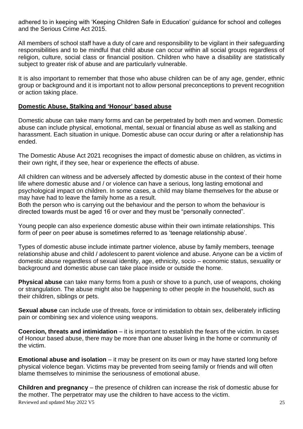adhered to in keeping with 'Keeping Children Safe in Education' guidance for school and colleges and the Serious Crime Act 2015.

All members of school staff have a duty of care and responsibility to be vigilant in their safeguarding responsibilities and to be mindful that child abuse can occur within all social groups regardless of religion, culture, social class or financial position. Children who have a disability are statistically subject to greater risk of abuse and are particularly vulnerable.

It is also important to remember that those who abuse children can be of any age, gender, ethnic group or background and it is important not to allow personal preconceptions to prevent recognition or action taking place.

#### **Domestic Abuse, Stalking and 'Honour' based abuse**

Domestic abuse can take many forms and can be perpetrated by both men and women. Domestic abuse can include physical, emotional, mental, sexual or financial abuse as well as stalking and harassment. Each situation in unique. Domestic abuse can occur during or after a relationship has ended.

The Domestic Abuse Act 2021 recognises the impact of domestic abuse on children, as victims in their own right, if they see, hear or experience the effects of abuse.

All children can witness and be adversely affected by domestic abuse in the context of their home life where domestic abuse and / or violence can have a serious, long lasting emotional and psychological impact on children. In some cases, a child may blame themselves for the abuse or may have had to leave the family home as a result.

Both the person who is carrying out the behaviour and the person to whom the behaviour is directed towards must be aged 16 or over and they must be "personally connected".

Young people can also experience domestic abuse within their own intimate relationships. This form of peer on peer abuse is sometimes referred to as 'teenage relationship abuse'.

Types of domestic abuse include intimate partner violence, abuse by family members, teenage relationship abuse and child / adolescent to parent violence and abuse. Anyone can be a victim of domestic abuse regardless of sexual identity, age, ethnicity, socio – economic status, sexuality or background and domestic abuse can take place inside or outside the home.

**Physical abuse** can take many forms from a push or shove to a punch, use of weapons, choking or strangulation. The abuse might also be happening to other people in the household, such as their children, siblings or pets.

**Sexual abuse** can include use of threats, force or intimidation to obtain sex, deliberately inflicting pain or combining sex and violence using weapons.

**Coercion, threats and intimidation** – it is important to establish the fears of the victim. In cases of Honour based abuse, there may be more than one abuser living in the home or community of the victim.

**Emotional abuse and isolation** – it may be present on its own or may have started long before physical violence began. Victims may be prevented from seeing family or friends and will often blame themselves to minimise the seriousness of emotional abuse.

Reviewed and updated May 2022 V5 25 **Children and pregnancy** – the presence of children can increase the risk of domestic abuse for the mother. The perpetrator may use the children to have access to the victim.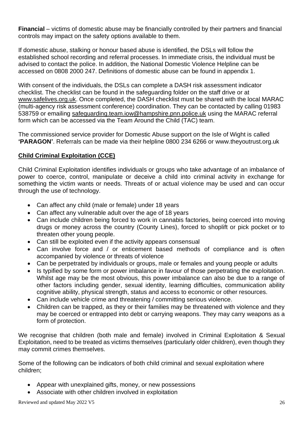**Financial** – victims of domestic abuse may be financially controlled by their partners and financial controls may impact on the safety options available to them.

If domestic abuse, stalking or honour based abuse is identified, the DSLs will follow the established school recording and referral processes. In immediate crisis, the individual must be advised to contact the police. In addition, the National Domestic Violence Helpline can be accessed on 0808 2000 247. Definitions of domestic abuse can be found in appendix 1.

With consent of the individuals, the DSLs can complete a DASH risk assessment indicator checklist. The checklist can be found in the safeguarding folder on the staff drive or at [www.safelives.org.uk.](http://www.safelives.org.uk/) Once completed, the DASH checklist must be shared with the local MARAC (multi-agency risk assessment conference) coordination. They can be contacted by calling 01983 538759 or emailing [safeguarding.team.iow@hampshire.pnn.police.uk](mailto:safeguarding.team.iow@hampshire.pnn.police.uk) using the MARAC referral form which can be accessed via the Team Around the Child (TAC) team.

The commissioned service provider for Domestic Abuse support on the Isle of Wight is called **'PARAGON'**. Referrals can be made via their helpline 0800 234 6266 or www.theyoutrust.org.uk

#### **Child Criminal Exploitation (CCE)**

Child Criminal Exploitation identifies individuals or groups who take advantage of an imbalance of power to coerce, control, manipulate or deceive a child into criminal activity in exchange for something the victim wants or needs. Threats of or actual violence may be used and can occur through the use of technology.

- Can affect any child (male or female) under 18 years
- Can affect any vulnerable adult over the age of 18 years
- Can include children being forced to work in cannabis factories, being coerced into moving drugs or money across the country (County Lines), forced to shoplift or pick pocket or to threaten other young people.
- Can still be exploited even if the activity appears consensual
- Can involve force and / or enticement based methods of compliance and is often accompanied by violence or threats of violence
- Can be perpetrated by individuals or groups, male or females and young people or adults
- Is typified by some form or power imbalance in favour of those perpetrating the exploitation. Whilst age may be the most obvious, this power imbalance can also be due to a range of other factors including gender, sexual identity, learning difficulties, communication ability cognitive ability, physical strength, status and access to economic or other resources.
- Can include vehicle crime and threatening / committing serious violence.
- Children can be trapped, as they or their families may be threatened with violence and they may be coerced or entrapped into debt or carrying weapons. They may carry weapons as a form of protection.

We recognise that children (both male and female) involved in Criminal Exploitation & Sexual Exploitation, need to be treated as victims themselves (particularly older children), even though they may commit crimes themselves.

Some of the following can be indicators of both child criminal and sexual exploitation where children;

- Appear with unexplained gifts, money, or new possessions
- Associate with other children involved in exploitation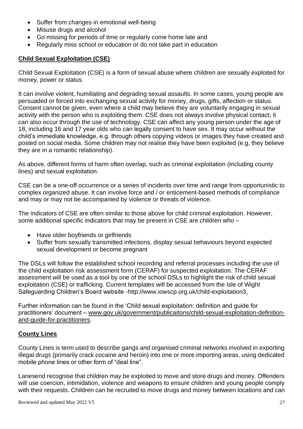- Suffer from changes in emotional well-being
- Misuse drugs and alcohol
- Go missing for periods of time or regularly come home late and
- Regularly miss school or education or do not take part in education

### **Child Sexual Exploitation (CSE)**

Child Sexual Exploitation (CSE) is a form of sexual abuse where children are sexually exploited for money, power or status.

It can involve violent, humiliating and degrading sexual assaults. In some cases, young people are persuaded or forced into exchanging sexual activity for money, drugs, gifts, affection or status. Consent cannot be given, even where a child may believe they are voluntarily engaging in sexual activity with the person who is exploiting them. CSE does not always involve physical contact; it can also occur through the use of technology. CSE can affect any young person under the age of 18, including 16 and 17 year olds who can legally consent to have sex. It may occur without the child's immediate knowledge, e.g. through others copying videos or images they have created and posted on social media. Some children may not realise they have been exploited (e.g, they believe they are in a romantic relationship).

As above, different forms of harm often overlap, such as criminal exploitation (including county lines) and sexual exploitation.

CSE can be a one-off occurrence or a series of incidents over time and range from opportunistic to complex organized abuse. It can involve force and / or enticement-based methods of compliance and may or may not be accompanied by violence or threats of violence.

The indicators of CSE are often similar to those above for child criminal exploitation. However, some additional specific indicators that may be present in CSE are children who –

- Have older boyfriends or girlfriends
- Suffer from sexually transmitted infections, display sexual behaviours beyond expected sexual development or become pregnant

The DSLs will follow the established school recording and referral processes including the use of the child exploitation risk assessment form (CERAF) for suspected exploitation. The CERAF assessment will be used as a tool by one of the school DSLs to highlight the risk of child sexual exploitation (CSE) or trafficking. Current templates will be accessed from the Isle of Wight Safeguarding Children's Board website -http://www.iowscp.org.uk/child-exploitation3.

Further information can be found in the 'Child sexual exploitation: definition and guide for practitioners' document – [www.gov.uk/government/publicaitons/child-sexual-exploitation-definition](http://www.gov.uk/government/publicaitons/child-sexual-exploitation-definition-and-guide-for-practitioners)[and-guide-for-practitioners.](http://www.gov.uk/government/publicaitons/child-sexual-exploitation-definition-and-guide-for-practitioners)

#### **County Lines**

County Lines is term used to describe gangs and organised criminal networks involved in exporting illegal drugs (primarily crack cocaine and heroin) into one or more importing areas, using dedicated mobile phone lines or other form of "deal line".

Lanesend recognise that children may be exploited to move and store drugs and money. Offenders will use coercion, intimidation, violence and weapons to ensure children and young people comply with their requests. Children can be recruited to move drugs and money between locations and can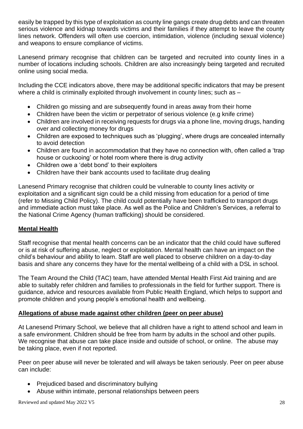easily be trapped by this type of exploitation as county line gangs create drug debts and can threaten serious violence and kidnap towards victims and their families if they attempt to leave the county lines network. Offenders will often use coercion, intimidation, violence (including sexual violence) and weapons to ensure compliance of victims.

Lanesend primary recognise that children can be targeted and recruited into county lines in a number of locations including schools. Children are also increasingly being targeted and recruited online using social media.

Including the CCE indicators above, there may be additional specific indicators that may be present where a child is criminally exploited through involvement in county lines; such as –

- Children go missing and are subsequently found in areas away from their home
- Children have been the victim or perpetrator of serious violence (e.g knife crime)
- Children are involved in receiving requests for drugs via a phone line, moving drugs, handing over and collecting money for drugs
- Children are exposed to techniques such as 'plugging', where drugs are concealed internally to avoid detection
- Children are found in accommodation that they have no connection with, often called a 'trap house or cuckooing' or hotel room where there is drug activity
- Children owe a 'debt bond' to their exploiters
- Children have their bank accounts used to facilitate drug dealing

Lanesend Primary recognise that children could be vulnerable to county lines activity or exploitation and a significant sign could be a child missing from education for a period of time (refer to Missing Child Policy). The child could potentially have been trafficked to transport drugs and immediate action must take place. As well as the Police and Children's Services, a referral to the National Crime Agency (human trafficking) should be considered.

#### **Mental Health**

Staff recognise that mental health concerns can be an indicator that the child could have suffered or is at risk of suffering abuse, neglect or exploitation. Mental health can have an impact on the child's behaviour and ability to learn. Staff are well placed to observe children on a day-to-day basis and share any concerns they have for the mental wellbeing of a child with a DSL in school.

The Team Around the Child (TAC) team, have attended Mental Health First Aid training and are able to suitably refer children and families to professionals in the field for further support. There is guidance, advice and resources available from Public Health England, which helps to support and promote children and young people's emotional health and wellbeing.

#### **Allegations of abuse made against other children (peer on peer abuse)**

At Lanesend Primary School, we believe that all children have a right to attend school and learn in a safe environment. Children should be free from harm by adults in the school and other pupils. We recognise that abuse can take place inside and outside of school, or online. The abuse may be taking place, even if not reported.

Peer on peer abuse will never be tolerated and will always be taken seriously. Peer on peer abuse can include:

- Prejudiced based and discriminatory bullying
- Abuse within intimate, personal relationships between peers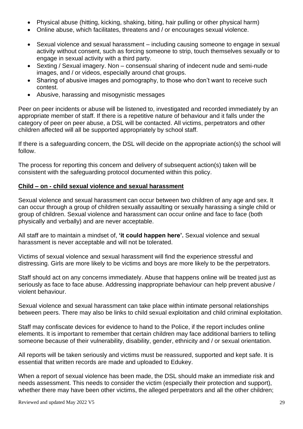- Physical abuse (hitting, kicking, shaking, biting, hair pulling or other physical harm)
- Online abuse, which facilitates, threatens and / or encourages sexual violence.
- Sexual violence and sexual harassment including causing someone to engage in sexual activity without consent, such as forcing someone to strip, touch themselves sexually or to engage in sexual activity with a third party.
- Sexting / Sexual imagery. Non consensual sharing of indecent nude and semi-nude images, and / or videos, especially around chat groups.
- Sharing of abusive images and pornography, to those who don't want to receive such contest.
- Abusive, harassing and misogynistic messages

Peer on peer incidents or abuse will be listened to, investigated and recorded immediately by an appropriate member of staff. If there is a repetitive nature of behaviour and it falls under the category of peer on peer abuse, a DSL will be contacted. All victims, perpetrators and other children affected will all be supported appropriately by school staff.

If there is a safeguarding concern, the DSL will decide on the appropriate action(s) the school will follow.

The process for reporting this concern and delivery of subsequent action(s) taken will be consistent with the safeguarding protocol documented within this policy.

#### **Child – on - child sexual violence and sexual harassment**

Sexual violence and sexual harassment can occur between two children of any age and sex. It can occur through a group of children sexually assaulting or sexually harassing a single child or group of children. Sexual violence and harassment can occur online and face to face (both physically and verbally) and are never acceptable.

All staff are to maintain a mindset of, **'it could happen here'.** Sexual violence and sexual harassment is never acceptable and will not be tolerated.

Victims of sexual violence and sexual harassment will find the experience stressful and distressing. Girls are more likely to be victims and boys are more likely to be the perpetrators.

Staff should act on any concerns immediately. Abuse that happens online will be treated just as seriously as face to face abuse. Addressing inappropriate behaviour can help prevent abusive / violent behaviour.

Sexual violence and sexual harassment can take place within intimate personal relationships between peers. There may also be links to child sexual exploitation and child criminal exploitation.

Staff may confiscate devices for evidence to hand to the Police, if the report includes online elements. It is important to remember that certain children may face additional barriers to telling someone because of their vulnerability, disability, gender, ethnicity and / or sexual orientation.

All reports will be taken seriously and victims must be reassured, supported and kept safe. It is essential that written records are made and uploaded to Edukey.

When a report of sexual violence has been made, the DSL should make an immediate risk and needs assessment. This needs to consider the victim (especially their protection and support), whether there may have been other victims, the alleged perpetrators and all the other children;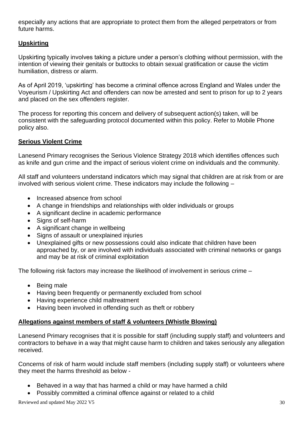especially any actions that are appropriate to protect them from the alleged perpetrators or from future harms.

#### **Upskirting**

Upskirting typically involves taking a picture under a person's clothing without permission, with the intention of viewing their genitals or buttocks to obtain sexual gratification or cause the victim humiliation, distress or alarm.

As of April 2019, 'upskirting' has become a criminal offence across England and Wales under the Voyeurism / Upskirting Act and offenders can now be arrested and sent to prison for up to 2 years and placed on the sex offenders register.

The process for reporting this concern and delivery of subsequent action(s) taken, will be consistent with the safeguarding protocol documented within this policy. Refer to Mobile Phone policy also.

#### **Serious Violent Crime**

Lanesend Primary recognises the Serious Violence Strategy 2018 which identifies offences such as knife and gun crime and the impact of serious violent crime on individuals and the community.

All staff and volunteers understand indicators which may signal that children are at risk from or are involved with serious violent crime. These indicators may include the following –

- Increased absence from school
- A change in friendships and relationships with older individuals or groups
- A significant decline in academic performance
- Signs of self-harm
- A significant change in wellbeing
- Signs of assault or unexplained injuries
- Unexplained gifts or new possessions could also indicate that children have been approached by, or are involved with individuals associated with criminal networks or gangs and may be at risk of criminal exploitation

The following risk factors may increase the likelihood of involvement in serious crime –

- Being male
- Having been frequently or permanently excluded from school
- Having experience child maltreatment
- Having been involved in offending such as theft or robbery

#### **Allegations against members of staff & volunteers (Whistle Blowing)**

Lanesend Primary recognises that it is possible for staff (including supply staff) and volunteers and contractors to behave in a way that might cause harm to children and takes seriously any allegation received.

Concerns of risk of harm would include staff members (including supply staff) or volunteers where they meet the harms threshold as below -

- Behaved in a way that has harmed a child or may have harmed a child
- Possibly committed a criminal offence against or related to a child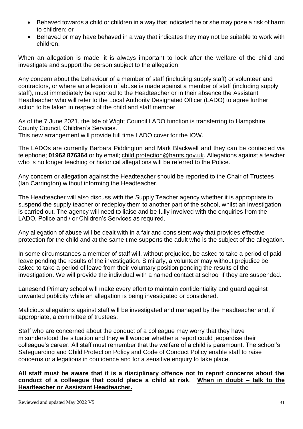- Behaved towards a child or children in a way that indicated he or she may pose a risk of harm to children; or
- Behaved or may have behaved in a way that indicates they may not be suitable to work with children.

When an allegation is made, it is always important to look after the welfare of the child and investigate and support the person subject to the allegation.

Any concern about the behaviour of a member of staff (including supply staff) or volunteer and contractors, or where an allegation of abuse is made against a member of staff (including supply staff), must immediately be reported to the Headteacher or in their absence the Assistant Headteacher who will refer to the Local Authority Designated Officer (LADO) to agree further action to be taken in respect of the child and staff member.

As of the 7 June 2021, the Isle of Wight Council LADO function is transferring to Hampshire County Council, Children's Services. This new arrangement will provide full time LADO cover for the IOW.

The LADOs are currently Barbara Piddington and Mark Blackwell and they can be contacted via telephone; **01962 876364** or by email[; child.protection@hants.gov.uk.](mailto:child.protection@hants.gov.uk) Allegations against a teacher who is no longer teaching or historical allegations will be referred to the Police.

Any concern or allegation against the Headteacher should be reported to the Chair of Trustees (Ian Carrington) without informing the Headteacher.

The Headteacher will also discuss with the Supply Teacher agency whether it is appropriate to suspend the supply teacher or redeploy them to another part of the school, whilst an investigation is carried out. The agency will need to liaise and be fully involved with the enquiries from the LADO, Police and / or Children's Services as required.

Any allegation of abuse will be dealt with in a fair and consistent way that provides effective protection for the child and at the same time supports the adult who is the subject of the allegation.

In some circumstances a member of staff will, without prejudice, be asked to take a period of paid leave pending the results of the investigation. Similarly, a volunteer may without prejudice be asked to take a period of leave from their voluntary position pending the results of the investigation. We will provide the individual with a named contact at school if they are suspended.

Lanesend Primary school will make every effort to maintain confidentiality and guard against unwanted publicity while an allegation is being investigated or considered.

Malicious allegations against staff will be investigated and managed by the Headteacher and, if appropriate, a committee of trustees.

Staff who are concerned about the conduct of a colleague may worry that they have misunderstood the situation and they will wonder whether a report could jeopardise their colleague's career. All staff must remember that the welfare of a child is paramount. The school's Safeguarding and Child Protection Policy and Code of Conduct Policy enable staff to raise concerns or allegations in confidence and for a sensitive enquiry to take place.

**All staff must be aware that it is a disciplinary offence not to report concerns about the conduct of a colleague that could place a child at risk**. **When in doubt – talk to the Headteacher or Assistant Headteacher.**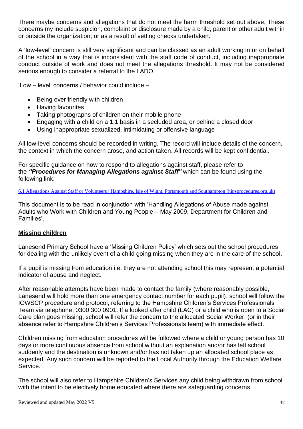There maybe concerns and allegations that do not meet the harm threshold set out above. These concerns my include suspicion, complaint or disclosure made by a child, parent or other adult within or outside the organization; or as a result of vetting checks undertaken.

A 'low-level' concern is still very significant and can be classed as an adult working in or on behalf of the school in a way that is inconsistent with the staff code of conduct, including inappropriate conduct outside of work and does not meet the allegations threshold. It may not be considered serious enough to consider a referral to the LADO.

'Low – level' concerns / behavior could include –

- Being over friendly with children
- Having favourites
- Taking photographs of children on their mobile phone
- Engaging with a child on a 1:1 basis in a secluded area, or behind a closed door
- Using inappropriate sexualized, intimidating or offensive language

All low-level concerns should be recorded in writing. The record will include details of the concern, the context in which the concern arose, and action taken. All records will be kept confidential.

For specific guidance on how to respond to allegations against staff, please refer to the *"Procedures for Managing Allegations against Staff"* which can be found using the following link.

6.1 Allegations Against Staff or Volunteers | Hampshire, Isle of Wight, Portsmouth and Southampton [\(hipsprocedures.org.uk\)](https://hipsprocedures.org.uk/lkyyst/adults-who-pose-a-risk-of-harm-to-children/allegations-against-staff-or-volunteers)

This document is to be read in conjunction with 'Handling Allegations of Abuse made against Adults who Work with Children and Young People – May 2009, Department for Children and Families'.

#### **Missing children**

Lanesend Primary School have a 'Missing Children Policy' which sets out the school procedures for dealing with the unlikely event of a child going missing when they are in the care of the school.

If a pupil is missing from education i.e. they are not attending school this may represent a potential indicator of abuse and neglect.

After reasonable attempts have been made to contact the family (where reasonably possible, Lanesend will hold more than one emergency contact number for each pupil), school will follow the IOWSCP procedure and protocol, referring to the Hampshire Children's Services Professionals Team via telephone; 0300 300 0901. If a looked after child (LAC) or a child who is open to a Social Care plan goes missing, school will refer the concern to the allocated Social Worker, (or in their absence refer to Hampshire Children's Services Professionals team) with immediate effect.

Children missing from education procedures will be followed where a child or young person has 10 days or more continuous absence from school without an explanation and/or has left school suddenly and the destination is unknown and/or has not taken up an allocated school place as expected. Any such concern will be reported to the Local Authority through the Education Welfare Service.

The school will also refer to Hampshire Children's Services any child being withdrawn from school with the intent to be electively home educated where there are safeguarding concerns.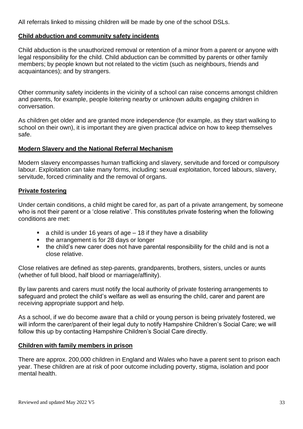All referrals linked to missing children will be made by one of the school DSLs.

#### **Child abduction and community safety incidents**

Child abduction is the unauthorized removal or retention of a minor from a parent or anyone with legal responsibility for the child. Child abduction can be committed by parents or other family members; by people known but not related to the victim (such as neighbours, friends and acquaintances); and by strangers.

Other community safety incidents in the vicinity of a school can raise concerns amongst children and parents, for example, people loitering nearby or unknown adults engaging children in conversation.

As children get older and are granted more independence (for example, as they start walking to school on their own), it is important they are given practical advice on how to keep themselves safe.

#### **Modern Slavery and the National Referral Mechanism**

Modern slavery encompasses human trafficking and slavery, servitude and forced or compulsory labour. Exploitation can take many forms, including: sexual exploitation, forced labours, slavery, servitude, forced criminality and the removal of organs.

#### **Private fostering**

Under certain conditions, a child might be cared for, as part of a private arrangement, by someone who is not their parent or a 'close relative'. This constitutes private fostering when the following conditions are met:

- $\blacksquare$  a child is under 16 years of age  $-$  18 if they have a disability
- the arrangement is for 28 days or longer
- the child's new carer does not have parental responsibility for the child and is not a close relative.

Close relatives are defined as step-parents, grandparents, brothers, sisters, uncles or aunts (whether of full blood, half blood or marriage/affinity).

By law parents and carers must notify the local authority of private fostering arrangements to safeguard and protect the child's welfare as well as ensuring the child, carer and parent are receiving appropriate support and help.

As a school, if we do become aware that a child or young person is being privately fostered, we will inform the carer/parent of their legal duty to notify Hampshire Children's Social Care; we will follow this up by contacting Hampshire Children's Social Care directly.

#### **Children with family members in prison**

There are approx. 200,000 children in England and Wales who have a parent sent to prison each year. These children are at risk of poor outcome including poverty, stigma, isolation and poor mental health.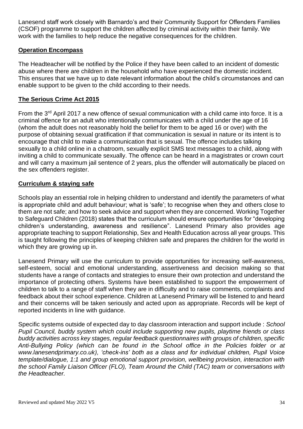Lanesend staff work closely with Barnardo's and their Community Support for Offenders Families (CSOF) programme to support the children affected by criminal activity within their family. We work with the families to help reduce the negative consequences for the children.

#### **Operation Encompass**

The Headteacher will be notified by the Police if they have been called to an incident of domestic abuse where there are children in the household who have experienced the domestic incident. This ensures that we have up to date relevant information about the child's circumstances and can enable support to be given to the child according to their needs.

#### **The Serious Crime Act 2015**

From the 3rd April 2017 a new offence of sexual communication with a child came into force. It is a criminal offence for an adult who intentionally communicates with a child under the age of 16 (whom the adult does not reasonably hold the belief for them to be aged 16 or over) with the purpose of obtaining sexual gratification if that communication is sexual in nature or its intent is to encourage that child to make a communication that is sexual. The offence includes talking sexually to a child online in a chatroom, sexually explicit SMS text messages to a child, along with inviting a child to communicate sexually. The offence can be heard in a magistrates or crown court and will carry a maximum jail sentence of 2 years, plus the offender will automatically be placed on the sex offenders register.

#### **Curriculum & staying safe**

Schools play an essential role in helping children to understand and identify the parameters of what is appropriate child and adult behaviour; what is 'safe'; to recognise when they and others close to them are not safe; and how to seek advice and support when they are concerned. Working Together to Safeguard Children (2018) states that the curriculum should ensure opportunities for "developing children's understanding, awareness and resilience". Lanesend Primary also provides age appropriate teaching to support Relationship, Sex and Health Education across all year groups. This is taught following the principles of keeping children safe and prepares the children for the world in which they are growing up in.

Lanesend Primary will use the curriculum to provide opportunities for increasing self-awareness, self-esteem, social and emotional understanding, assertiveness and decision making so that students have a range of contacts and strategies to ensure their own protection and understand the importance of protecting others. Systems have been established to support the empowerment of children to talk to a range of staff when they are in difficulty and to raise comments, complaints and feedback about their school experience. Children at Lanesend Primary will be listened to and heard and their concerns will be taken seriously and acted upon as appropriate. Records will be kept of reported incidents in line with guidance.

Specific systems outside of expected day to day classroom interaction and support include : *School Pupil Council, buddy system which could include supporting new pupils, playtime friends or class buddy activities across key stages, regular feedback questionnaires with groups of children, specific Anti-Bullying Policy (which can be found in the School office in the Policies folder or at www.lanesendprimary.co.uk), 'check-ins' both as a class and for individual children, Pupil Voice template/dialogue, 1:1 and group emotional support provision, wellbeing provision, interaction with the school Family Liaison Officer (FLO), Team Around the Child (TAC) team or conversations with the Headteacher.*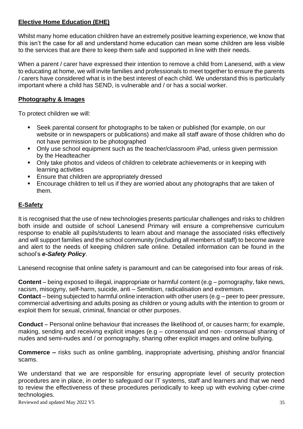#### **Elective Home Education (EHE)**

Whilst many home education children have an extremely positive learning experience, we know that this isn't the case for all and understand home education can mean some children are less visible to the services that are there to keep them safe and supported in line with their needs.

When a parent / carer have expressed their intention to remove a child from Lanesend, with a view to educating at home, we will invite families and professionals to meet together to ensure the parents / carers have considered what is in the best interest of each child. We understand this is particularly important where a child has SEND, is vulnerable and / or has a social worker.

#### **Photography & Images**

To protect children we will:

- Seek parental consent for photographs to be taken or published (for example, on our website or in newspapers or publications) and make all staff aware of those children who do not have permission to be photographed
- Only use school equipment such as the teacher/classroom iPad, unless given permission by the Headteacher
- Only take photos and videos of children to celebrate achievements or in keeping with learning activities
- Ensure that children are appropriately dressed
- Encourage children to tell us if they are worried about any photographs that are taken of them.

#### **E-Safety**

It is recognised that the use of new technologies presents particular challenges and risks to children both inside and outside of school Lanesend Primary will ensure a comprehensive curriculum response to enable all pupils/students to learn about and manage the associated risks effectively and will support families and the school community (including all members of staff) to become aware and alert to the needs of keeping children safe online. Detailed information can be found in the school's *e-Safety Policy*.

Lanesend recognise that online safety is paramount and can be categorised into four areas of risk.

**Content** – being exposed to illegal, inappropriate or harmful content (e.g – pornography, fake news, racism, misogyny, self-harm, suicide, anti – Semitism, radicalisation and extremism.

**Contact** – being subjected to harmful online interaction with other users (e.g – peer to peer pressure, commercial advertising and adults posing as children or young adults with the intention to groom or exploit them for sexual, criminal, financial or other purposes.

**Conduct** – Personal online behaviour that increases the likelihood of, or causes harm; for example, making, sending and receiving explicit images (e.g – consensual and non- consensual sharing of nudes and semi-nudes and / or pornography, sharing other explicit images and online bullying.

**Commerce –** risks such as online gambling, inappropriate advertising, phishing and/or financial scams.

We understand that we are responsible for ensuring appropriate level of security protection procedures are in place, in order to safeguard our IT systems, staff and learners and that we need to review the effectiveness of these procedures periodically to keep up with evolving cyber-crime technologies.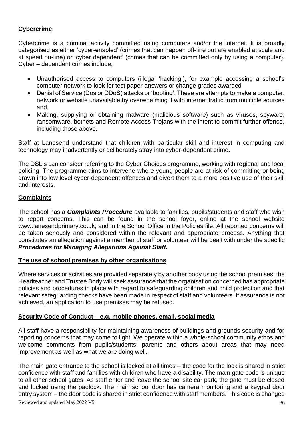#### **Cybercrime**

Cybercrime is a criminal activity committed using computers and/or the internet. It is broadly categorised as either 'cyber-enabled' (crimes that can happen off-line but are enabled at scale and at speed on-line) or 'cyber dependent' (crimes that can be committed only by using a computer). Cyber – dependent crimes include;

- Unauthorised access to computers (illegal 'hacking'), for example accessing a school's computer network to look for test paper answers or change grades awarded
- Denial of Service (Dos or DDoS) attacks or 'booting'. These are attempts to make a computer, network or website unavailable by overwhelming it with internet traffic from mulitiple sources and,
- Making, supplying or obtaining malware (malicious software) such as viruses, spyware, ransomware, botnets and Remote Access Trojans with the intent to commit further offence, including those above.

Staff at Lanesend understand that children with particular skill and interest in computing and technology may inadvertently or deliberately stray into cyber-dependent crime.

The DSL's can consider referring to the Cyber Choices programme, working with regional and local policing. The programme aims to intervene where young people are at risk of committing or being drawn into low level cyber-dependent offences and divert them to a more positive use of their skill and interests.

#### **Complaints**

The school has a *Complaints Procedure* available to families, pupils/students and staff who wish to report concerns. This can be found in the school foyer, online at the school website [www.lanesendprimary.co.uk,](http://www.lanesendprimary.co.uk/) and in the School Office in the Policies file. All reported concerns will be taken seriously and considered within the relevant and appropriate process. Anything that constitutes an allegation against a member of staff or volunteer will be dealt with under the specific *Procedures for Managing Allegations Against Staff.*

#### **The use of school premises by other organisations**

Where services or activities are provided separately by another body using the school premises, the Headteacher and Trustee Body will seek assurance that the organisation concerned has appropriate policies and procedures in place with regard to safeguarding children and child protection and that relevant safeguarding checks have been made in respect of staff and volunteers. If assurance is not achieved, an application to use premises may be refused.

#### **Security Code of Conduct – e.g. mobile phones, email, social media**

All staff have a responsibility for maintaining awareness of buildings and grounds security and for reporting concerns that may come to light. We operate within a whole-school community ethos and welcome comments from pupils/students, parents and others about areas that may need improvement as well as what we are doing well.

Reviewed and updated May 2022 V5 36 The main gate entrance to the school is locked at all times – the code for the lock is shared in strict confidence with staff and families with children who have a disability. The main gate code is unique to all other school gates. As staff enter and leave the school site car park, the gate must be closed and locked using the padlock. The main school door has camera monitoring and a keypad door entry system – the door code is shared in strict confidence with staff members. This code is changed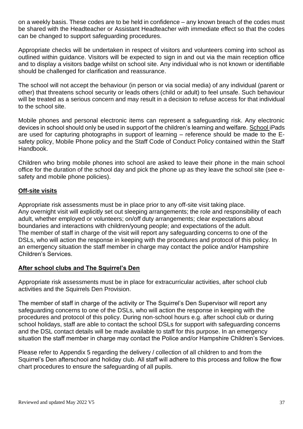on a weekly basis. These codes are to be held in confidence – any known breach of the codes must be shared with the Headteacher or Assistant Headteacher with immediate effect so that the codes can be changed to support safeguarding procedures.

Appropriate checks will be undertaken in respect of visitors and volunteers coming into school as outlined within guidance. Visitors will be expected to sign in and out via the main reception office and to display a visitors badge whilst on school site. Any individual who is not known or identifiable should be challenged for clarification and reassurance.

The school will not accept the behaviour (in person or via social media) of any individual (parent or other) that threatens school security or leads others (child or adult) to feel unsafe. Such behaviour will be treated as a serious concern and may result in a decision to refuse access for that individual to the school site.

Mobile phones and personal electronic items can represent a safeguarding risk. Any electronic devices in school should only be used in support of the children's learning and welfare. School iPads are used for capturing photographs in support of learning – reference should be made to the Esafety policy, Mobile Phone policy and the Staff Code of Conduct Policy contained within the Staff Handbook.

Children who bring mobile phones into school are asked to leave their phone in the main school office for the duration of the school day and pick the phone up as they leave the school site (see esafety and mobile phone policies).

#### **Off-site visits**

Appropriate risk assessments must be in place prior to any off-site visit taking place. Any overnight visit will explicitly set out sleeping arrangements; the role and responsibility of each adult, whether employed or volunteers; on/off duty arrangements; clear expectations about boundaries and interactions with children/young people; and expectations of the adult. The member of staff in charge of the visit will report any safeguarding concerns to one of the DSLs, who will action the response in keeping with the procedures and protocol of this policy. In an emergency situation the staff member in charge may contact the police and/or Hampshire Children's Services.

#### **After school clubs and The Squirrel's Den**

Appropriate risk assessments must be in place for extracurricular activities, after school club activities and the Squirrels Den Provision.

The member of staff in charge of the activity or The Squirrel's Den Supervisor will report any safeguarding concerns to one of the DSLs, who will action the response in keeping with the procedures and protocol of this policy. During non-school hours e.g. after school club or during school holidays, staff are able to contact the school DSLs for support with safeguarding concerns and the DSL contact details will be made available to staff for this purpose. In an emergency situation the staff member in charge may contact the Police and/or Hampshire Children's Services.

Please refer to Appendix 5 regarding the delivery / collection of all children to and from the Squirrel's Den afterschool and holiday club. All staff will adhere to this process and follow the flow chart procedures to ensure the safeguarding of all pupils.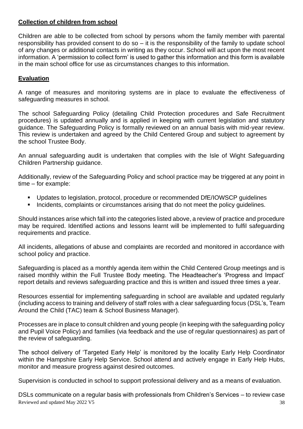#### **Collection of children from school**

Children are able to be collected from school by persons whom the family member with parental responsibility has provided consent to do so – it is the responsibility of the family to update school of any changes or additional contacts in writing as they occur. School will act upon the most recent information. A 'permission to collect form' is used to gather this information and this form is available in the main school office for use as circumstances changes to this information.

#### **Evaluation**

A range of measures and monitoring systems are in place to evaluate the effectiveness of safeguarding measures in school.

The school Safeguarding Policy (detailing Child Protection procedures and Safe Recruitment procedures) is updated annually and is applied in keeping with current legislation and statutory guidance. The Safeguarding Policy is formally reviewed on an annual basis with mid-year review. This review is undertaken and agreed by the Child Centered Group and subject to agreement by the school Trustee Body.

An annual safeguarding audit is undertaken that complies with the Isle of Wight Safeguarding Children Partnership guidance.

Additionally, review of the Safeguarding Policy and school practice may be triggered at any point in time – for example:

- Updates to legislation, protocol, procedure or recommended DfE/IOWSCP guidelines
- Incidents, complaints or circumstances arising that do not meet the policy guidelines.

Should instances arise which fall into the categories listed above, a review of practice and procedure may be required. Identified actions and lessons learnt will be implemented to fulfil safeguarding requirements and practice.

All incidents, allegations of abuse and complaints are recorded and monitored in accordance with school policy and practice.

Safeguarding is placed as a monthly agenda item within the Child Centered Group meetings and is raised monthly within the Full Trustee Body meeting. The Headteacher's 'Progress and Impact' report details and reviews safeguarding practice and this is written and issued three times a year.

Resources essential for implementing safeguarding in school are available and updated regularly (including access to training and delivery of staff roles with a clear safeguarding focus (DSL's, Team Around the Child (TAC) team & School Business Manager).

Processes are in place to consult children and young people (in keeping with the safeguarding policy and Pupil Voice Policy) and families (via feedback and the use of regular questionnaires) as part of the review of safeguarding.

The school delivery of 'Targeted Early Help' is monitored by the locality Early Help Coordinator within the Hampshire Early Help Service. School attend and actively engage in Early Help Hubs, monitor and measure progress against desired outcomes.

Supervision is conducted in school to support professional delivery and as a means of evaluation.

Reviewed and updated May 2022 V5 38 DSLs communicate on a regular basis with professionals from Children's Services – to review case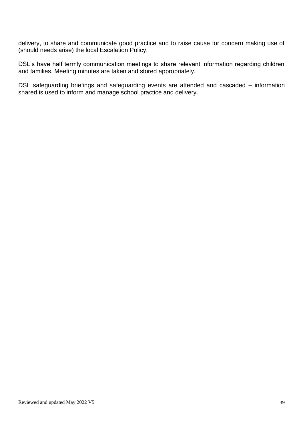delivery, to share and communicate good practice and to raise cause for concern making use of (should needs arise) the local Escalation Policy.

DSL's have half termly communication meetings to share relevant information regarding children and families. Meeting minutes are taken and stored appropriately.

DSL safeguarding briefings and safeguarding events are attended and cascaded – information shared is used to inform and manage school practice and delivery.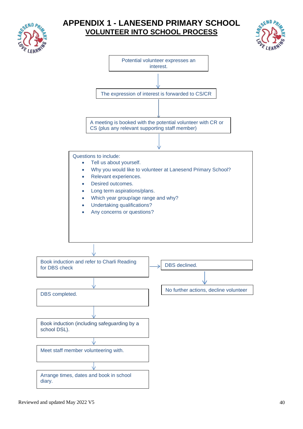

## **APPENDIX 1 - LANESEND PRIMARY SCHOOL VOLUNTEER INTO SCHOOL PROCESS**



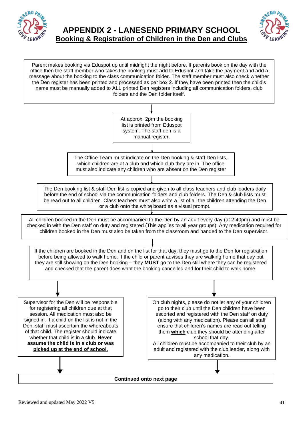

Parent makes booking via Eduspot up until midnight the night before. If parents book on the day with the



Supervisor for the Den will be responsible for registering all children due at that session. All medication must also be signed in. If a child on the list is not in the Den, staff must ascertain the whereabouts of that child. The register should indicate whether that child is in a club. **Never assume the child is in a club or was**  On club nights, please do not let any of your children go to their club until the Den children have been escorted and registered with the Den staff on duty (along with any medication). Please can all staff ensure that children's names are read out telling them **which** club they should be attending after school that day. All children must be accompanied to their club by an At approx. 2pm the booking list is printed from Eduspot system. The staff den is a manual register. The Office Team must indicate on the Den booking & staff Den lists, which children are at a club and which club they are in. The office must also indicate any children who are absent on the Den register The Den booking list & staff Den list is copied and given to all class teachers and club leaders daily before the end of school via the communication folders and club folders. The Den & club lists must be read out to all children. Class teachers must also write a list of all the children attending the Den or a club onto the white board as a visual prompt. All children booked in the Den must be accompanied to the Den by an adult every day (at 2:40pm) and must be checked in with the Den staff on duty and registered (This applies to all year groups). Any medication required for children booked in the Den must also be taken from the classroom and handed to the Den supervisor. office then the staff member who takes the booking must add to Eduspot and take the payment and add a message about the booking to the class communication folder. The staff member must also check whether the Den register has been printed and processed as per box 2. If they have been printed then the child's name must be manually added to ALL printed Den registers including all communication folders, club folders and the Den folder itself. If the children are booked in the Den and on the list for that day, they must go to the Den for registration before being allowed to walk home. If the child or parent advises they are walking home that day but they are still showing on the Den booking – they **MUST** go to the Den still where they can be registered and checked that the parent does want the booking cancelled and for their child to walk home.

**picked up at the end of school.** 

**Continued onto next page** 

adult and registered with the club leader, along with any medication.